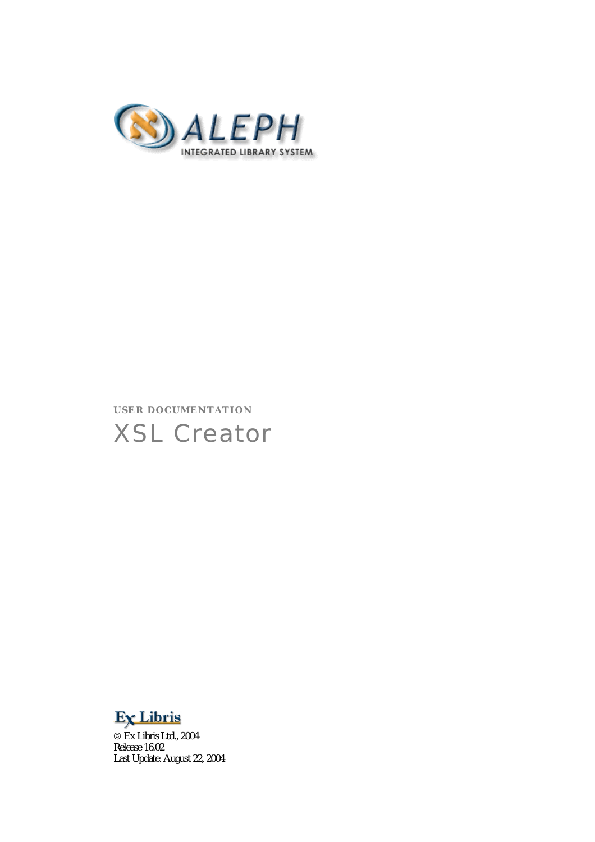

### **USER DOCUMENTATION**





 Ex Libris Ltd., 2004 Release 16.02 Last Update: August 22, 2004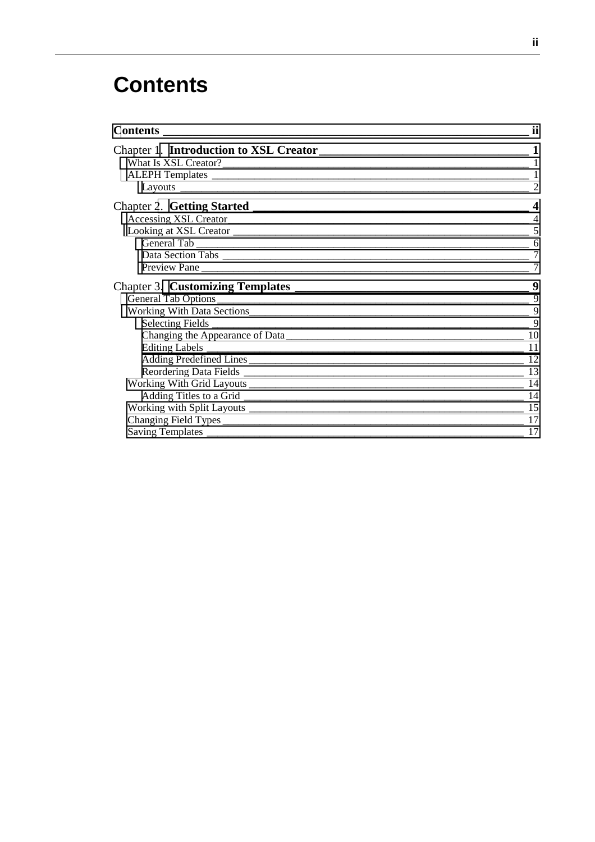# **Contents**

| <b>Contents</b> _________                                                                                                                                                                                                      | ij             |
|--------------------------------------------------------------------------------------------------------------------------------------------------------------------------------------------------------------------------------|----------------|
|                                                                                                                                                                                                                                |                |
|                                                                                                                                                                                                                                |                |
|                                                                                                                                                                                                                                |                |
| Layouts experience and the contract of the contract of the contract of the contract of the contract of the contract of the contract of the contract of the contract of the contract of the contract of the contract of the con | $\mathcal{P}$  |
|                                                                                                                                                                                                                                | 4              |
|                                                                                                                                                                                                                                |                |
|                                                                                                                                                                                                                                | 5              |
|                                                                                                                                                                                                                                |                |
|                                                                                                                                                                                                                                | $\overline{7}$ |
|                                                                                                                                                                                                                                | 7              |
|                                                                                                                                                                                                                                | 9              |
|                                                                                                                                                                                                                                | 9              |
|                                                                                                                                                                                                                                |                |
|                                                                                                                                                                                                                                |                |
|                                                                                                                                                                                                                                |                |
|                                                                                                                                                                                                                                |                |
|                                                                                                                                                                                                                                |                |
|                                                                                                                                                                                                                                |                |
| Working With Grid Layouts 14                                                                                                                                                                                                   |                |
|                                                                                                                                                                                                                                |                |
|                                                                                                                                                                                                                                |                |
|                                                                                                                                                                                                                                |                |
|                                                                                                                                                                                                                                | 17             |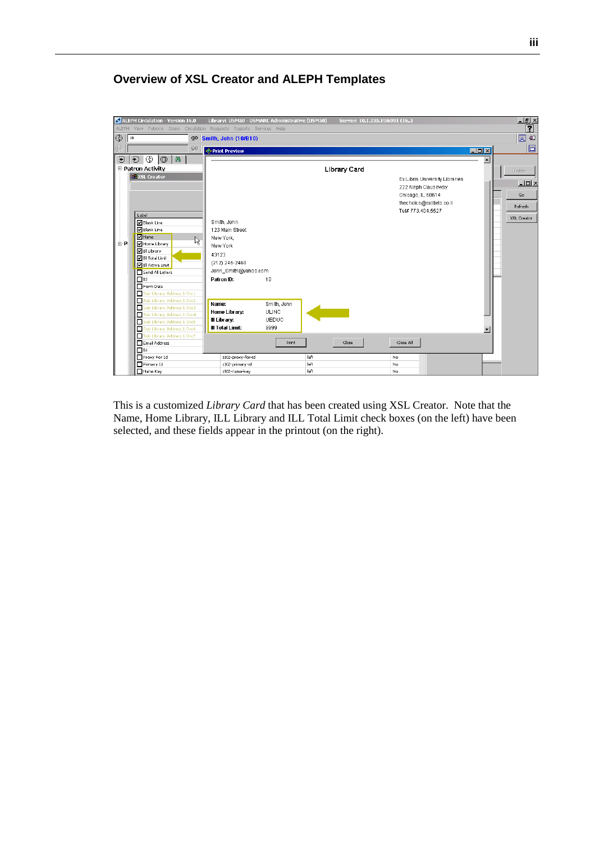#### $\frac{-|B| \times}{2}$ **P** ALEPH Cir Version 16.0 r: 10.1.235.19:6991 (16..) Library: U  $\overline{\bigoplus \big[\mathbb{R}^n]}$  $\overline{\boxtimes}$  43 go Smith, John (10/B10)  $90<sub>1</sub>$ <mark>◈ Print Preview</mark>  $LI = I$  $\bullet$  0 0 0  $\bullet$  $\overline{\blacksquare}$ P-<br>Patron Activity Library Card **BR** XSL Cre Ex Libris University Libraries  $\overline{\blacksquare}$ 222 Aleph Causeway Chicago, IL 60614  $\overline{a}$ thechoice@exlibris.co.il Refresh Tel# 773.404.5527 Label<br>
Blank Line<br>
Blank Line  $XSL$  Creator Smith, John 123 Main Street M Blank Line<br>M Home Library<br>M Ill Library<br>M Ill Total Limit New York, ド ≟. p. New York 43123  $(212)$  246-2468 John Smith@yahoo.com Patron ID:  $10$ Name: Smith, John Home Library: **ULINC** III Library: UEDUC **III Total Limit:** 9999 ۰I Print  $\mathsf{Close}$  $\operatorname{\mathsf{Close}}$  All z302-proxy-for-id  $N<sub>o</sub>$  $\mathsf{left}$ z302-primary-id left<br>left  $\frac{N_0}{N_0}$ z302-name-key

### **Overview of XSL Creator and ALEPH Templates**

This is a customized *Library Card* that has been created using XSL Creator. Note that the Name, Home Library, ILL Library and ILL Total Limit check boxes (on the left) have been selected, and these fields appear in the printout (on the right).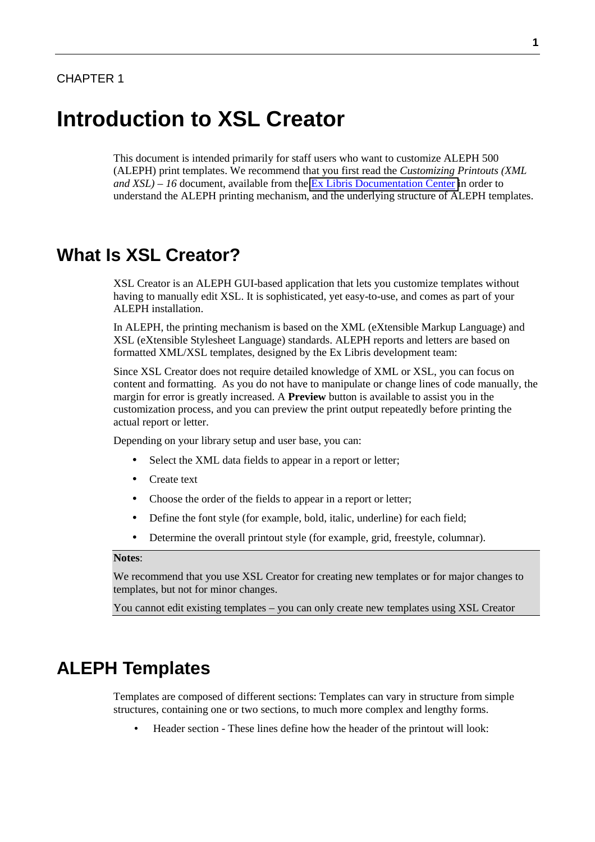# <span id="page-3-0"></span>**Introduction to XSL Creator**

This document is intended primarily for staff users who want to customize ALEPH 500TM (ALEPH) print templates. We recommend that you first read the *Customizing Printouts (XML and XSL) – 16* document, available from the [Ex Libris Documentation Center i](http://www.exlibrisgroup.com/docs/logon.php)n order to understand the ALEPH printing mechanism, and the underlying structure of ALEPH templates.

### **What Is XSL Creator?**

XSL Creator is an ALEPH GUI-based application that lets you customize templates without having to manually edit XSL. It is sophisticated, yet easy-to-use, and comes as part of your ALEPH installation.

In ALEPH, the printing mechanism is based on the XML (eXtensible Markup Language) and XSL (eXtensible Stylesheet Language) standards. ALEPH reports and letters are based on formatted XML/XSL templates, designed by the Ex Libris development team:

Since XSL Creator does not require detailed knowledge of XML or XSL, you can focus on content and formatting. As you do not have to manipulate or change lines of code manually, the margin for error is greatly increased. A **Preview** button is available to assist you in the customization process, and you can preview the print output repeatedly before printing the actual report or letter.

Depending on your library setup and user base, you can:

- Select the XML data fields to appear in a report or letter;
- Create text
- Choose the order of the fields to appear in a report or letter;
- Define the font style (for example, bold, italic, underline) for each field;
- Determine the overall printout style (for example, grid, freestyle, columnar).

#### **Notes**:

We recommend that you use XSL Creator for creating new templates or for major changes to templates, but not for minor changes.

You cannot edit existing templates – you can only create new templates using XSL Creator

# **ALEPH Templates**

Templates are composed of different sections: Templates can vary in structure from simple structures, containing one or two sections, to much more complex and lengthy forms.

• Header section - These lines define how the header of the printout will look: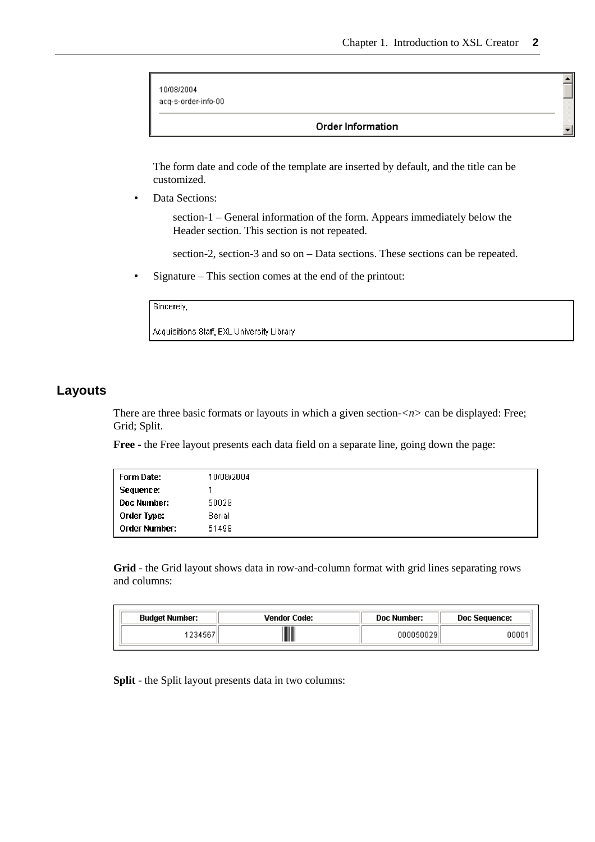$\triangleq$ 

```
10/08/2004
acq-s-order-info-00
```
#### Order Information

The form date and code of the template are inserted by default, and the title can be customized.

Data Sections:

 section-1 – General information of the form. Appears immediately below the Header section. This section is not repeated.

section-2, section-3 and so on – Data sections. These sections can be repeated.

• Signature – This section comes at the end of the printout:

| Sincerely,                                 |  |
|--------------------------------------------|--|
| Acquisitions Staff, EXL Universitγ Librarγ |  |

### **Layouts**

There are three basic formats or layouts in which a given section-*<n>* can be displayed: Free; Grid; Split.

**Free** - the Free layout presents each data field on a separate line, going down the page:

| Form Date:           | 10/08/2004 |
|----------------------|------------|
| Sequence:            |            |
| <b>Doc Number:</b>   | 50029      |
| Order Type:          | Serial     |
| <b>Order Number:</b> | 51498      |

**Grid** - the Grid layout shows data in row-and-column format with grid lines separating rows and columns:

| <b>Budget Number:</b> | <b>Vendor Code:</b> | Doc Number: | <b>Doc Sequence:</b> |
|-----------------------|---------------------|-------------|----------------------|
| 234567                |                     | 000050029   | 00001                |

**Split** - the Split layout presents data in two columns: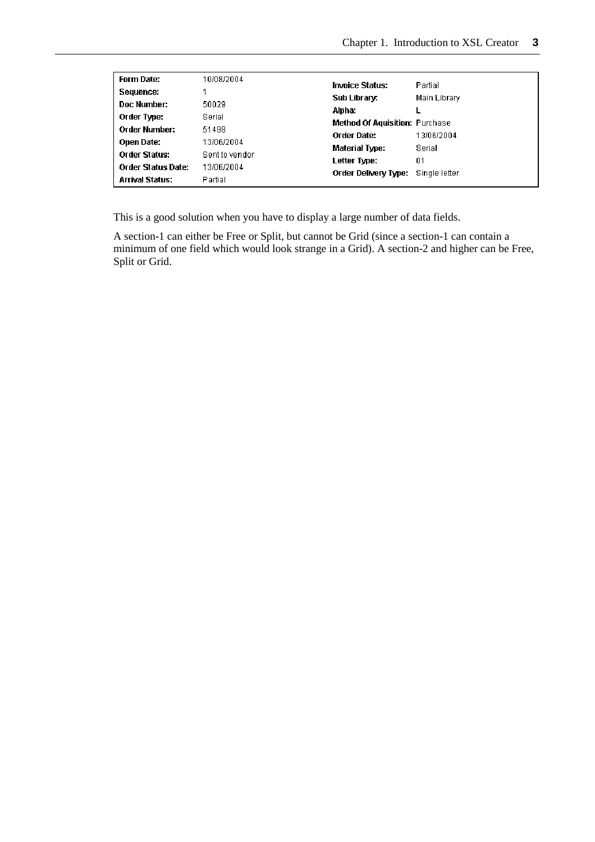| Form Date:<br>Sequence:<br>Doc Number:<br>Order Type:<br><b>Order Number:</b><br>Open Date:<br><b>Order Status:</b> | 10/08/2004<br>50029<br>Serial<br>51498<br>13/06/2004<br>Sent to vendor | <b>Invoice Status:</b><br>Sub Library:<br>Alpha:<br><b>Method Of Aquisition: Purchase</b><br>Order Date:<br>Material Type: | Partial<br>Main Library<br>13/06/2004<br>Serial |
|---------------------------------------------------------------------------------------------------------------------|------------------------------------------------------------------------|----------------------------------------------------------------------------------------------------------------------------|-------------------------------------------------|
| <b>Order Status Date:</b>                                                                                           | 13/06/2004                                                             | Letter Type:                                                                                                               | 01                                              |
| <b>Arrival Status:</b>                                                                                              | Partial                                                                | Order Delivery Type:                                                                                                       | Single letter                                   |

This is a good solution when you have to display a large number of data fields.

A section-1 can either be Free or Split, but cannot be Grid (since a section-1 can contain a minimum of one field which would look strange in a Grid). A section-2 and higher can be Free, Split or Grid.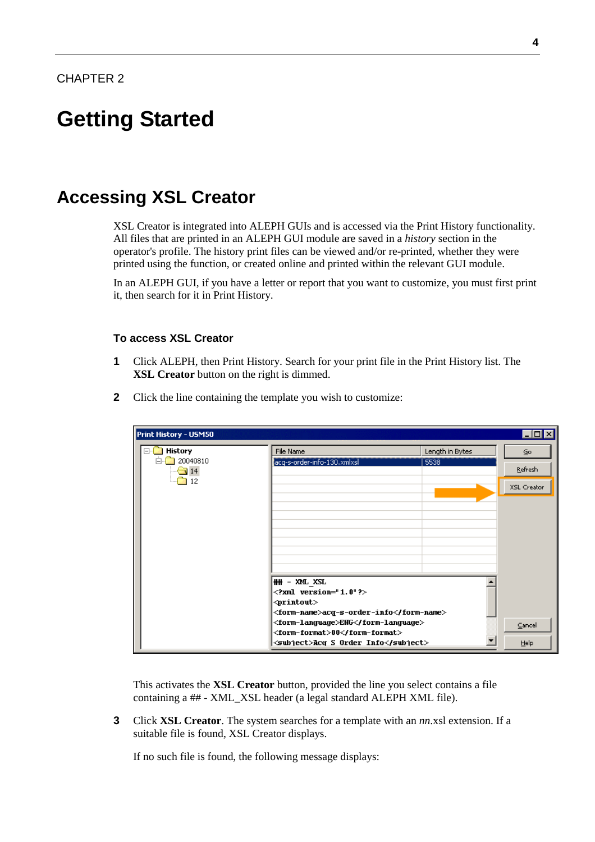# <span id="page-6-0"></span>**Getting Started**

# **Accessing XSL Creator**

XSL Creator is integrated into ALEPH GUIs and is accessed via the Print History functionality. All files that are printed in an ALEPH GUI module are saved in a *history* section in the operator's profile. The history print files can be viewed and/or re-printed, whether they were printed using the function, or created online and printed within the relevant GUI module.

In an ALEPH GUI, if you have a letter or report that you want to customize, you must first print it, then search for it in Print History.

### **To access XSL Creator**

- **1** Click ALEPH, then Print History. Search for your print file in the Print History list. The **XSL Creator** button on the right is dimmed.
- **2** Click the line containing the template you wish to customize:

| Print History - USM50         |                                                                   |                 | $  \square   \square   \times$ |
|-------------------------------|-------------------------------------------------------------------|-----------------|--------------------------------|
| <b>History</b><br>F           | File Name                                                         | Length in Bytes | Go                             |
| 20040810<br>F.<br>$\sqrt{14}$ | acq-s-order-info-130.xmlxsl                                       | 5538            | Refresh                        |
| 12                            |                                                                   |                 | XSL Creator                    |
|                               |                                                                   |                 |                                |
|                               |                                                                   |                 |                                |
|                               |                                                                   |                 |                                |
|                               |                                                                   |                 |                                |
|                               | ## - XML XSL                                                      |                 |                                |
|                               | $\leq$ ?xml version="1.0"?>                                       |                 |                                |
|                               | $\Diamond$ rintout $>$<br><form-name>acq-s-order-info</form-name> |                 |                                |
|                               | <form-language>ENG</form-language>                                |                 | Cancel                         |
|                               | <form-format>00</form-format>                                     |                 |                                |
|                               | <subject>Acq S Order Info</subject>                               |                 | <b>Help</b>                    |

This activates the **XSL Creator** button, provided the line you select contains a file containing a ## - XML\_XSL header (a legal standard ALEPH XML file).

**3** Click **XSL Creator**. The system searches for a template with an *nn*.xsl extension. If a suitable file is found, XSL Creator displays.

If no such file is found, the following message displays: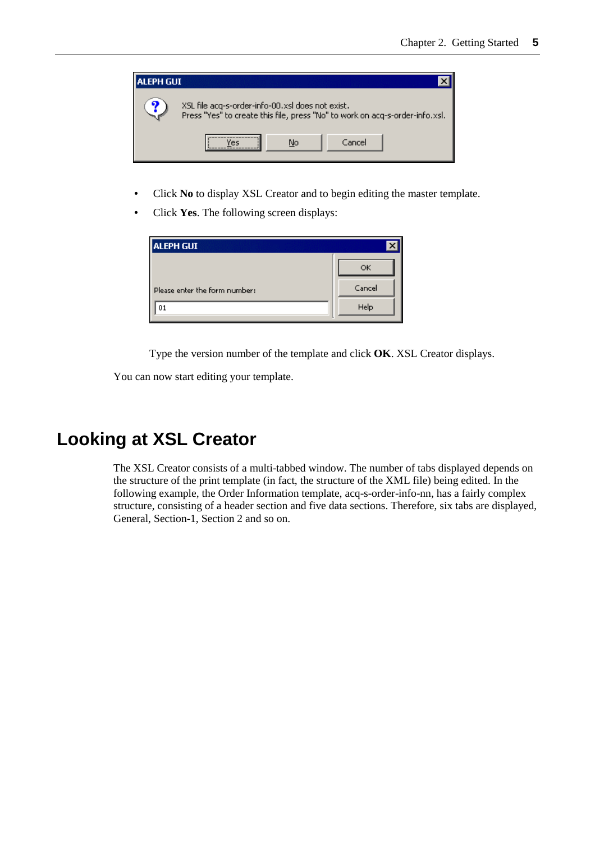<span id="page-7-0"></span>

- Click **No** to display XSL Creator and to begin editing the master template.
- Click **Yes**. The following screen displays:

| <b>ALEPH GUI</b>              |        |
|-------------------------------|--------|
|                               | OK     |
| Please enter the form number: | Cancel |
| 01                            | Help   |

Type the version number of the template and click **OK**. XSL Creator displays.

You can now start editing your template.

# **Looking at XSL Creator**

The XSL Creator consists of a multi-tabbed window. The number of tabs displayed depends on the structure of the print template (in fact, the structure of the XML file) being edited. In the following example, the Order Information template, acq-s-order-info-nn, has a fairly complex structure, consisting of a header section and five data sections. Therefore, six tabs are displayed, General, Section-1, Section 2 and so on.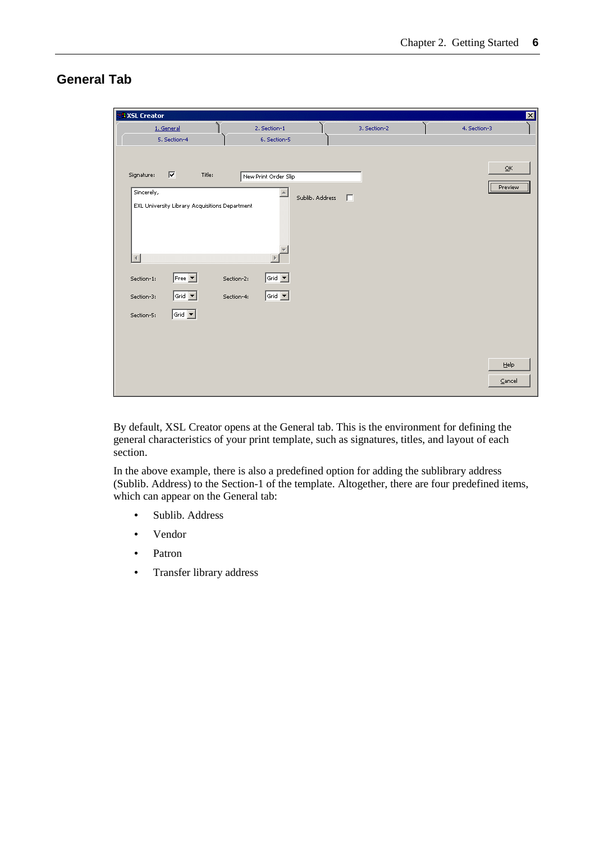### <span id="page-8-0"></span>**General Tab**

| <b>RXSL Creator</b>                                                                                                      |                                                                                            |                   | $\overline{\mathbf{z}}$           |
|--------------------------------------------------------------------------------------------------------------------------|--------------------------------------------------------------------------------------------|-------------------|-----------------------------------|
| 1. General<br>5. Section-4                                                                                               | 2. Section-1<br>6. Section-5                                                               | 3. Section-2      | 4. Section-3                      |
| ⊽<br>Title:<br>Signature:                                                                                                | New Print Order Slip                                                                       |                   | $\overline{\mathsf{O}}\mathsf{K}$ |
| Sincerely,<br>EXL University Library Acquisitions Department                                                             | A                                                                                          | Sublib. Address [ | Preview                           |
| $\left  \cdot \right $<br>$Free$ $\blacktriangledown$<br>Section-1:<br>$ \mathsf{Grid} \blacktriangledown$<br>Section-3: | $ $ Grid $ \mathbf{v} $<br>Section-2:<br>$ \mathsf{Grid} \blacktriangledown$<br>Section-4: |                   |                                   |
| Grid $\boxed{\bullet}$<br>Section-5:                                                                                     |                                                                                            |                   |                                   |
|                                                                                                                          |                                                                                            |                   | Help<br>$\subseteq$ ancel         |

By default, XSL Creator opens at the General tab. This is the environment for defining the general characteristics of your print template, such as signatures, titles, and layout of each section.

In the above example, there is also a predefined option for adding the sublibrary address (Sublib. Address) to the Section-1 of the template. Altogether, there are four predefined items, which can appear on the General tab:

- Sublib. Address
- Vendor
- Patron
- Transfer library address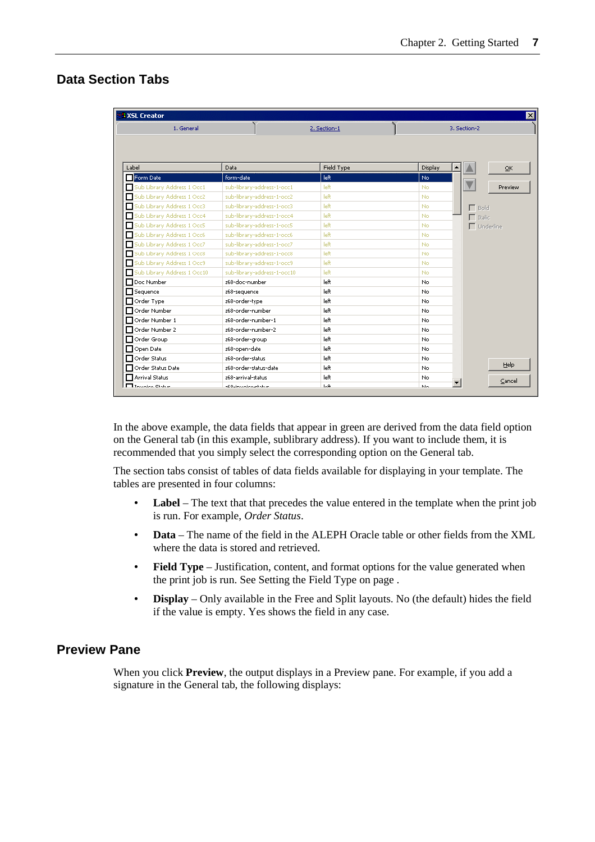### <span id="page-9-0"></span>**Data Section Tabs**

| 1. General                       |                             | 2. Section-1 | 3. Section-2            |         |
|----------------------------------|-----------------------------|--------------|-------------------------|---------|
|                                  |                             |              |                         |         |
|                                  |                             |              |                         |         |
|                                  |                             |              |                         |         |
| Label                            | Data                        | Field Type   | Display                 | OK.     |
| Form Date                        | form-date                   | left         | No                      |         |
| Sub Library Address 1 Occ1       | sub-library-address-1-occ1  | left         | No.                     | Preview |
| Sub Library Address 1 Occ2       | sub-library-address-1-occ2  | left         | No.                     |         |
| Sub Library Address 1 Occ3<br>п  | sub-library-address-1-occ3  | left         | No.<br>$\Gamma$ Bold    |         |
| Sub Library Address 1 Occ4<br>п  | sub-library-address-1-occ4  | left         | No.<br>$\Box$ Italic    |         |
| Sub Library Address 1 Occ5<br>п  | sub-library-address-1-occ5  | left         | $\Box$ Underline<br>No. |         |
| Sub Library Address 1 Occ6<br>п  | sub-library-address-1-occ6  | left         | No.                     |         |
| Sub Library Address 1 Occ7<br>п  | sub-library-address-1-occ7  | left         | No.                     |         |
| Sub Library Address 1 Occ8<br>п  | sub-library-address-1-occ8  | left         | No.                     |         |
| Sub Library Address 1 Occ9       | sub-library-address-1-occ9  | left         | No.                     |         |
| Sub Library Address 1 Occ10<br>п | sub-library-address-1-occ10 | left         | No.                     |         |
| Doc Number                       | z68-doc-number              | left         | No.                     |         |
| <b>□</b> Sequence                | z68-sequence                | left         | No.                     |         |
| $\Box$ Order Type                | z68-order-type              | left         | No.                     |         |
| Order Number                     | z68-order-number            | left         | No.                     |         |
| Order Number 1                   | z68-order-number-1          | left         | No.                     |         |
| Order Number 2                   | z68-order-number-2          | left         | No.                     |         |
| □ Order Group                    | z68-order-group             | left         | No.                     |         |
| $\Box$ Open Date                 | z68-open-date               | left         | No.                     |         |
| □ Order Status                   | z68-order-status            | left         | No.                     |         |
| Order Status Date                | z68-order-status-date       | left         | No.                     | Help    |
| <b>□ Arrival Status</b>          | z68-arrival-status          | left         | No.                     | Cancel  |
| $\Box$ Invoice Shake             | <b>SCOLIMAZIONALE NELLE</b> | <b>LA</b>    | N <sub>In</sub>         |         |

In the above example, the data fields that appear in green are derived from the data field option on the General tab (in this example, sublibrary address). If you want to include them, it is recommended that you simply select the corresponding option on the General tab.

The section tabs consist of tables of data fields available for displaying in your template. The tables are presented in four columns:

- **Label** The text that that precedes the value entered in the template when the print job is run. For example, *Order Status*.
- **Data** The name of the field in the ALEPH Oracle table or other fields from the XML where the data is stored and retrieved.
- **Field Type** Justification, content, and format options for the value generated when the print job is run. See Setting the Field Type on page .
- **Display** Only available in the Free and Split layouts. No (the default) hides the field if the value is empty. Yes shows the field in any case.

### **Preview Pane**

When you click **Preview**, the output displays in a Preview pane. For example, if you add a signature in the General tab, the following displays: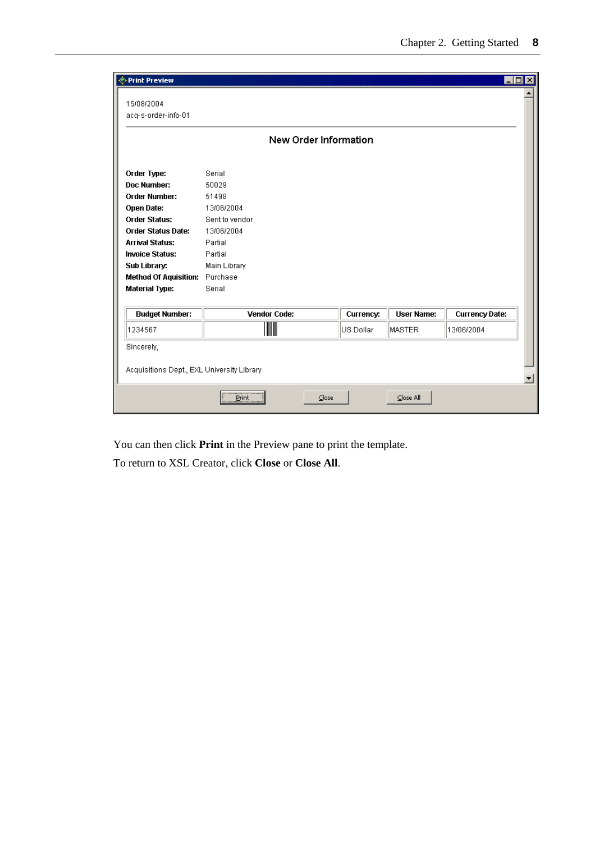| <b>Example Preview</b>                     |                               |           |                   |                       | $\blacksquare\square$ |
|--------------------------------------------|-------------------------------|-----------|-------------------|-----------------------|-----------------------|
| 15/08/2004<br>acq-s-order-info-01          |                               |           |                   |                       |                       |
|                                            | New Order Information         |           |                   |                       |                       |
| Order Type:                                | Serial                        |           |                   |                       |                       |
| Doc Number:                                | 50029                         |           |                   |                       |                       |
| <b>Order Number:</b>                       | 51498                         |           |                   |                       |                       |
| <b>Open Date:</b>                          | 13/06/2004                    |           |                   |                       |                       |
| <b>Order Status:</b>                       | Sent to vendor                |           |                   |                       |                       |
| <b>Order Status Date:</b>                  | 13/06/2004                    |           |                   |                       |                       |
| <b>Arrival Status:</b>                     | Partial                       |           |                   |                       |                       |
| <b>Invoice Status:</b>                     | Partial                       |           |                   |                       |                       |
| Sub Library:                               | Main Library                  |           |                   |                       |                       |
| <b>Method Of Aquisition:</b> Purchase      |                               |           |                   |                       |                       |
| <b>Material Type:</b>                      | Serial                        |           |                   |                       |                       |
|                                            |                               |           |                   |                       |                       |
| <b>Budget Number:</b>                      | <b>Vendor Code:</b>           | Currency: | <b>User Name:</b> | <b>Currency Date:</b> |                       |
| 1234567                                    | III                           | US Dollar | MASTER            | 13/06/2004            |                       |
| Sincerely,                                 |                               |           |                   |                       |                       |
| Acquisitions Dept., EXL University Library |                               |           |                   |                       | $\blacktriangledown$  |
|                                            | <br>Print<br>$\subseteq$ lose |           | Close All         |                       |                       |

You can then click **Print** in the Preview pane to print the template.

To return to XSL Creator, click **Close** or **Close All**.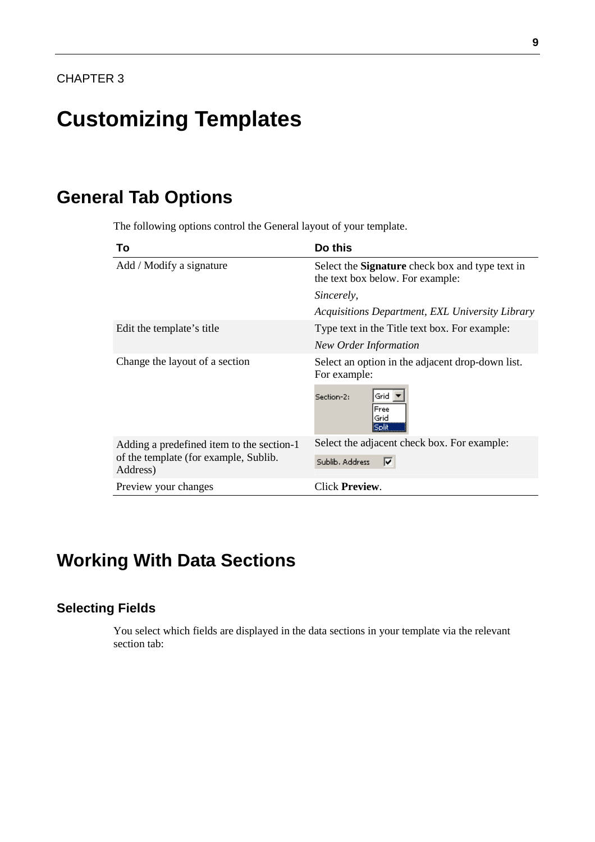# <span id="page-11-0"></span>**Customizing Templates**

# **General Tab Options**

The following options control the General layout of your template.

| To                                                | Do this                                                                                    |
|---------------------------------------------------|--------------------------------------------------------------------------------------------|
| Add / Modify a signature                          | Select the <b>Signature</b> check box and type text in<br>the text box below. For example: |
|                                                   | Sincerely,                                                                                 |
|                                                   | Acquisitions Department, EXL University Library                                            |
| Edit the template's title                         | Type text in the Title text box. For example:                                              |
|                                                   | <b>New Order Information</b>                                                               |
| Change the layout of a section                    | Select an option in the adjacent drop-down list.<br>For example:                           |
|                                                   | Grid<br>Section-2:<br>Free<br>Grid<br>Solit                                                |
| Adding a predefined item to the section-1         | Select the adjacent check box. For example:                                                |
| of the template (for example, Sublib.<br>Address) | ⊽<br>Sublib, Address                                                                       |
| Preview your changes                              | Click <b>Preview</b> .                                                                     |

# **Working With Data Sections**

### **Selecting Fields**

You select which fields are displayed in the data sections in your template via the relevant section tab: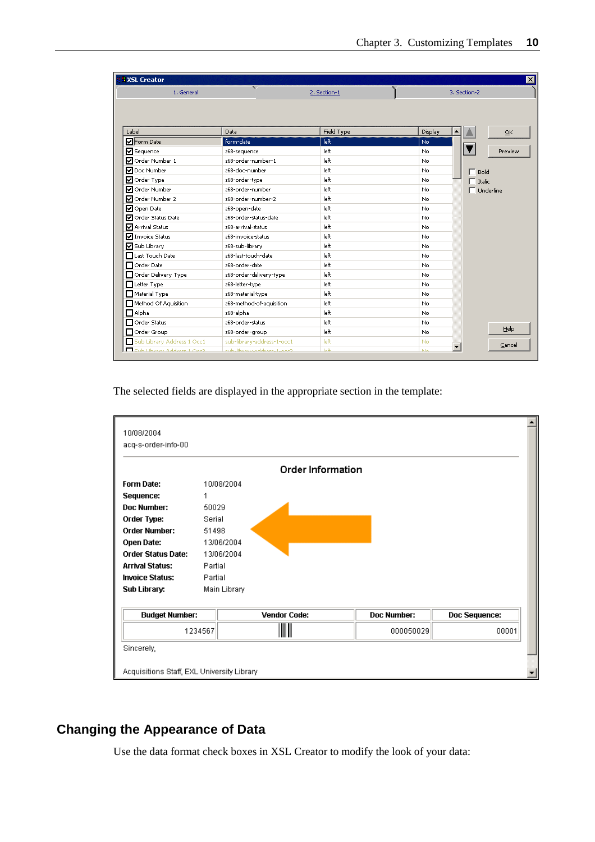<span id="page-12-0"></span>

| 1. General                      |                            | 2. Section-1 | 3. Section-2           |          |
|---------------------------------|----------------------------|--------------|------------------------|----------|
|                                 |                            |              |                        |          |
| Label                           | Data                       | Field Type   | Display                | $\alpha$ |
| <b>V</b> Form Date              | form-date                  | left         | No                     |          |
| <b>V</b> Sequence               | z68-sequence               | left         | No                     | Preview  |
| MOrder Number 1                 | z68-order-number-1         | left         | No                     |          |
| MDoc Number                     | z68-doc-number             | left         | No<br>Bold             |          |
| Order Type                      | z68-order-type             | left         | No<br>$\top$ Italic    |          |
| √ Order Number                  | z68-order-number           | left         | No<br>$\Box$ Underline |          |
| Order Number 2                  | z68-order-number-2         | left         | No                     |          |
| Open Date                       | z68-open-date              | left         | No                     |          |
| Order Status Date               | 268-order-status-date      | left         | No                     |          |
| Arrival Status                  | z68-arrival-status         | left         | No                     |          |
| <b>V</b> Invoice Status         | z68-invoice-status         | left         | No                     |          |
| M Sub Library                   | z68-sub-library            | left         | No                     |          |
| $\prod$ Last Touch Date         | z68-last-touch-date        | left         | No.                    |          |
| Order Date                      | z68-order-date             | left         | No                     |          |
| Order Delivery Type             | z68-order-delivery-type    | left         | No                     |          |
| Letter Type                     | z68-letter-type            | left         | No                     |          |
| Material Type                   | 268-material-type          | left         | No                     |          |
| Method Of Aquisition            | z68-method-of-aquisition   | left         | No                     |          |
| $\Box$ Alpha                    | z68-alpha                  | left         | No                     |          |
| Order Status                    | z68-order-status           | left         | No                     |          |
| $\Box$ Order Group              | z68-order-group            | left         | No                     | Help     |
| Sub Library Address 1 Occ1<br>п | sub-library-address-1-occ1 | left         | No                     | Cancel   |

The selected fields are displayed in the appropriate section in the template:

| 10/08/2004                                 |              |                     |             |               |
|--------------------------------------------|--------------|---------------------|-------------|---------------|
| acq-s-order-info-00                        |              |                     |             |               |
|                                            |              | Order Information   |             |               |
| <b>Form Date:</b>                          | 10/08/2004   |                     |             |               |
| Sequence:                                  | 1            |                     |             |               |
| Doc Number:                                | 50029        |                     |             |               |
| Order Type:                                | Serial       |                     |             |               |
| <b>Order Number:</b>                       | 51498        |                     |             |               |
| Open Date:                                 | 13/06/2004   |                     |             |               |
| <b>Order Status Date:</b>                  | 13/06/2004   |                     |             |               |
| <b>Arrival Status:</b>                     | Partial      |                     |             |               |
| <b>Invoice Status:</b>                     | Partial      |                     |             |               |
| Sub Library:                               | Main Library |                     |             |               |
|                                            |              |                     |             |               |
| <b>Budget Number:</b>                      |              | <b>Vendor Code:</b> | Doc Number: | Doc Sequence: |
|                                            | 1234567      |                     | 000050029   | 00001         |
| Sincerely,                                 |              |                     |             |               |
|                                            |              |                     |             |               |
| Acquisitions Staff, EXL University Library |              |                     |             |               |

### **Changing the Appearance of Data**

Use the data format check boxes in XSL Creator to modify the look of your data: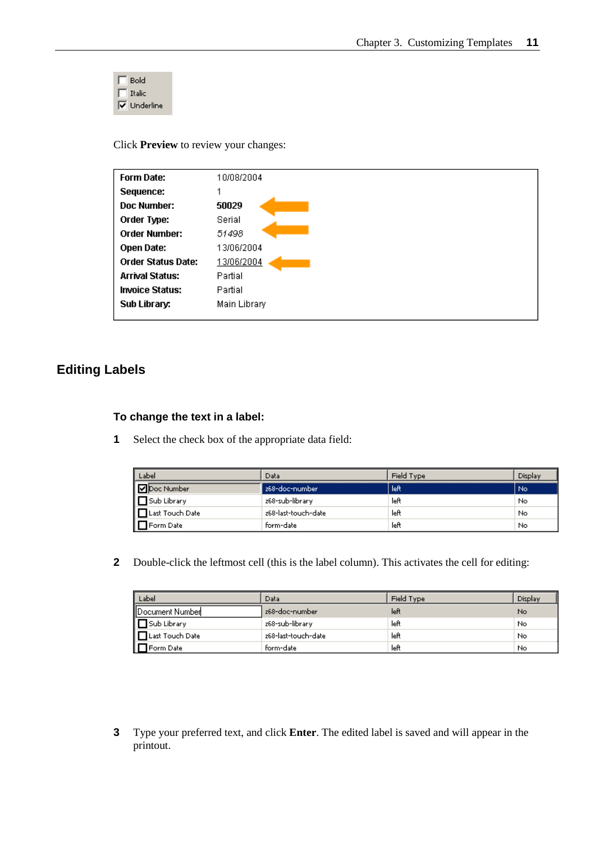<span id="page-13-0"></span>

Click **Preview** to review your changes:

| <b>Form Date:</b>         | 10/08/2004   |
|---------------------------|--------------|
| Sequence:                 |              |
| Doc Number:               | 50029        |
| Order Type:               | Serial       |
| <b>Order Number:</b>      | 51498        |
| Open Date:                | 13/06/2004   |
| <b>Order Status Date:</b> | 13/06/2004   |
| <b>Arrival Status:</b>    | Partial      |
| <b>Invoice Status:</b>    | Partial      |
| Sub Library:              | Main Library |
|                           |              |

### **Editing Labels**

### **To change the text in a label:**

**1** Select the check box of the appropriate data field:

| Label                     | Data                | Field Type | Display |
|---------------------------|---------------------|------------|---------|
| <b>v</b> Doc Number       | 268-doc-number      | left       | No      |
| $\Box$ Sub Library        | z68-sub-library     | left       | No      |
| $\exists$ Last Touch Date | z68-last-touch-date | left       | No      |
| Form Date                 | form-date           | left       | No      |

**2** Double-click the leftmost cell (this is the label column). This activates the cell for editing:

| Label              | Data                | Field Type | Display |
|--------------------|---------------------|------------|---------|
| Document Number    | z68-doc-number      | left       | No      |
|                    | z68-sub-library     | left       | No      |
| Last Touch Date    | z68-last-touch-date | left       | No      |
| <b>D</b> Form Date | form-date           | left       | No      |

**3** Type your preferred text, and click **Enter**. The edited label is saved and will appear in the printout.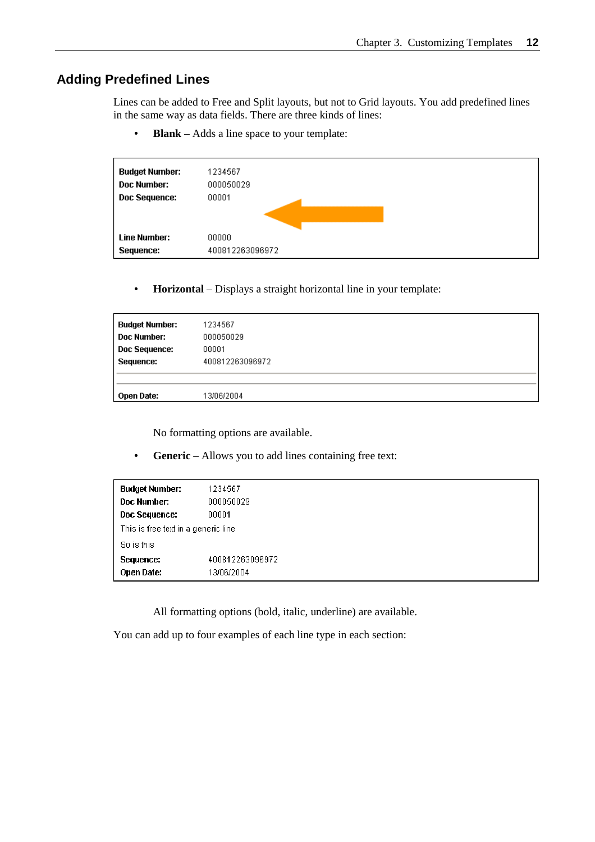### <span id="page-14-0"></span>**Adding Predefined Lines**

Lines can be added to Free and Split layouts, but not to Grid layouts. You add predefined lines in the same way as data fields. There are three kinds of lines:

• **Blank** – Adds a line space to your template:

| <b>Budget Number:</b> | 1234567         |
|-----------------------|-----------------|
| Doc Number:           | 000050029       |
| Doc Sequence:         | 00001           |
|                       |                 |
|                       |                 |
| <b>Line Number:</b>   | 00000           |
| Sequence:             | 400812263096972 |

• **Horizontal** – Displays a straight horizontal line in your template:

| <b>Budget Number:</b><br>Doc Number: | 1234567<br>000050029 |
|--------------------------------------|----------------------|
| <b>Doc Sequence:</b>                 | 00001                |
| Sequence:                            | 400812263096972      |
| Open Date:                           | 13/06/2004           |

No formatting options are available.

• **Generic** – Allows you to add lines containing free text:

| <b>Budget Number:</b>               | 1234567         |
|-------------------------------------|-----------------|
| <b>Doc Number:</b>                  | 000050029       |
| Doc Sequence:                       | 00001           |
| This is free text in a generic line |                 |
| So is this                          |                 |
| Sequence:                           | 400812263096972 |
| <b>Open Date:</b>                   | 13/06/2004      |

All formatting options (bold, italic, underline) are available.

You can add up to four examples of each line type in each section: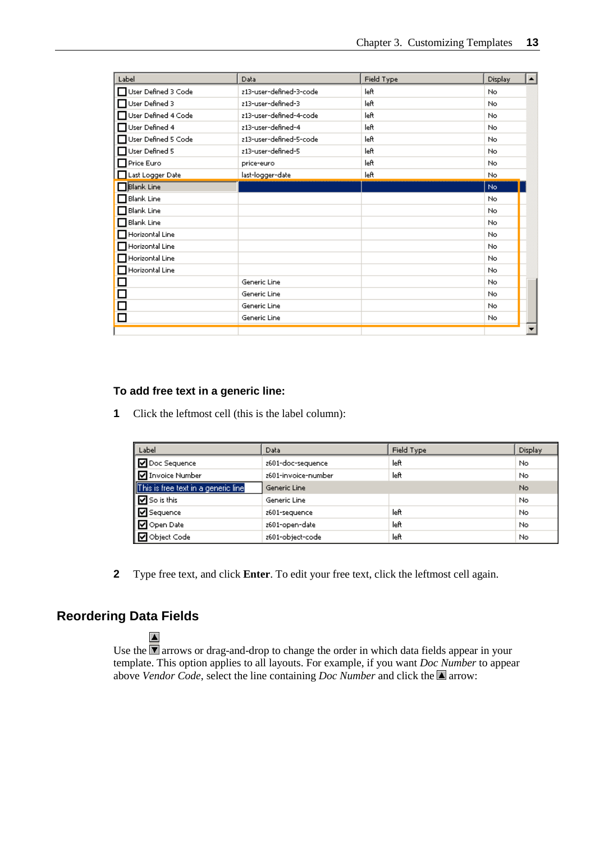<span id="page-15-0"></span>

| Label                  | Data                    | Field Type | Display | $\blacktriangle$ |
|------------------------|-------------------------|------------|---------|------------------|
| User Defined 3 Code    | z13-user-defined-3-code | left       | No      |                  |
| User Defined 3         | z13-user-defined-3      | left       | No      |                  |
| User Defined 4 Code    | z13-user-defined-4-code | left       | No      |                  |
| User Defined 4         | z13-user-defined-4      | left       | No      |                  |
| User Defined 5 Code    | z13-user-defined-5-code | left       | No      |                  |
| User Defined 5         | z13-user-defined-5      | left       | No      |                  |
| Price Euro             | price-euro              | left       | No      |                  |
| Last Logger Date       | last-logger-date        | left       | No      |                  |
| $\Box$ Blank Line      |                         |            | No      |                  |
| $\Box$ Blank Line      |                         |            | No      |                  |
| $\Box$ Blank Line      |                         |            | No      |                  |
| $\Box$ Blank Line      |                         |            | No      |                  |
| Horizontal Line        |                         |            | No      |                  |
| Horizontal Line        |                         |            | No      |                  |
| $\Box$ Horizontal Line |                         |            | No      |                  |
| Horizontal Line        |                         |            | No      |                  |
| □                      | Generic Line            |            | No      |                  |
| $\Box$                 | Generic Line            |            | No      |                  |
| □                      | Generic Line            |            | No.     |                  |
|                        | Generic Line            |            | No.     |                  |
|                        |                         |            |         |                  |

### **To add free text in a generic line:**

**1** Click the leftmost cell (this is the label column):

| Label                               | Data                        | Field Type | Display |  |
|-------------------------------------|-----------------------------|------------|---------|--|
| DOc Sequence                        | left<br>z601-doc-sequence   |            | No      |  |
| <b>D</b> Invoice Number             | z601-invoice-number<br>left |            | No      |  |
| This is free text in a generic line | Generic Line                |            | No.     |  |
| <b>D</b> So is this                 | Generic Line                |            | No      |  |
| $\boxed{\triangleright}$ Sequence   | z601-sequence               | left       | No      |  |
| I Ø Open Date                       | z601-open-date              | left       | No      |  |
| <b>D</b> Object Code                | z601-object-code            | left       | No      |  |

**2** Type free text, and click **Enter**. To edit your free text, click the leftmost cell again.

### **Reordering Data Fields**

 $\blacktriangle$ 

Use the  $\blacksquare$  arrows or drag-and-drop to change the order in which data fields appear in your template. This option applies to all layouts. For example, if you want *Doc Number* to appear above *Vendor Code*, select the line containing *Doc Number* and click the  $\blacksquare$  arrow: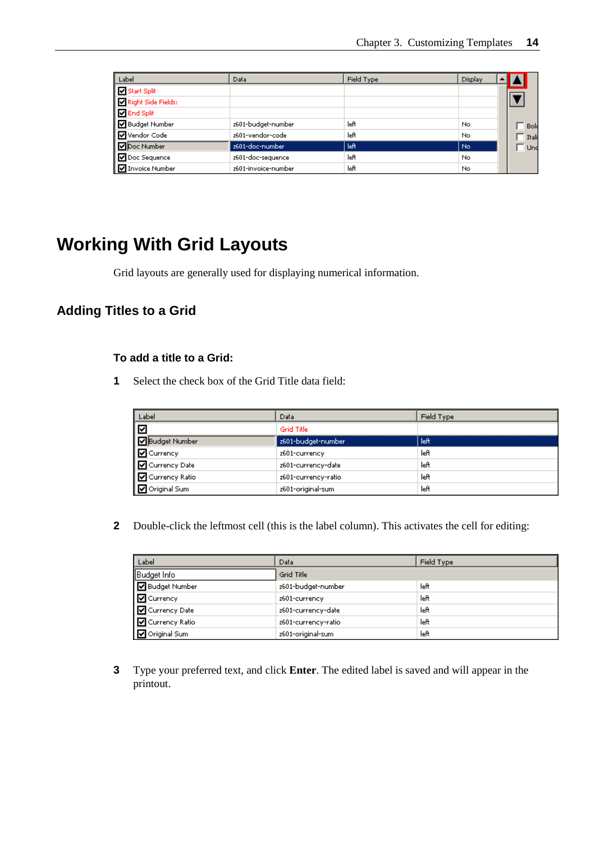<span id="page-16-0"></span>

| Label                   | Data                | Field Type | Display |  |       |
|-------------------------|---------------------|------------|---------|--|-------|
| Start Split             |                     |            |         |  |       |
| Right Side Fields:      |                     |            |         |  |       |
| <b>Ø</b> End Split      |                     |            |         |  |       |
| <b>V</b> Budget Number  | z601-budget-number  | left       | No.     |  | Bold  |
| MVendor Code            | z601-vendor-code    | left       | No.     |  | Itali |
| Doc Number              | z601-doc-number     | left       | No.     |  | Und   |
| Doc Sequence            | 2601-doc-sequence   | left       | No.     |  |       |
| <b>V</b> Invoice Number | z601-invoice-number | left       | No.     |  |       |

# **Working With Grid Layouts**

Grid layouts are generally used for displaying numerical information.

### **Adding Titles to a Grid**

### **To add a title to a Grid:**

**1** Select the check box of the Grid Title data field:

| Label                         | Data                | Field Type |
|-------------------------------|---------------------|------------|
| ☑                             | Grid Title          |            |
| <b>D</b> Budget Number        | z601-budget-number  | left.      |
| $\boxed{\mathbf{C}}$ Currency | z601-currency       | left       |
| □ Currency Date               | 2601-currency-date  | left       |
| I Ø Currency Ratio            | 2601-currency-ratio | left       |
| <b>D</b> Original Sum         | z601-original-sum   | left       |

**2** Double-click the leftmost cell (this is the label column). This activates the cell for editing:

| Label                  | Data                | Field Type |
|------------------------|---------------------|------------|
| Budget Info            | Grid Title          |            |
| <b>D</b> Budget Number | 2601-budget-number  | left       |
| <b>D</b> Currency      | z601-currency       | left       |
| I ⊡ Currency Date      | 2601-currency-date  | left       |
| │ M Currency Ratio     | 2601-currency-ratio | left       |
| <b>D</b> Original Sum  | z601-original-sum   | left       |

**3** Type your preferred text, and click **Enter**. The edited label is saved and will appear in the printout.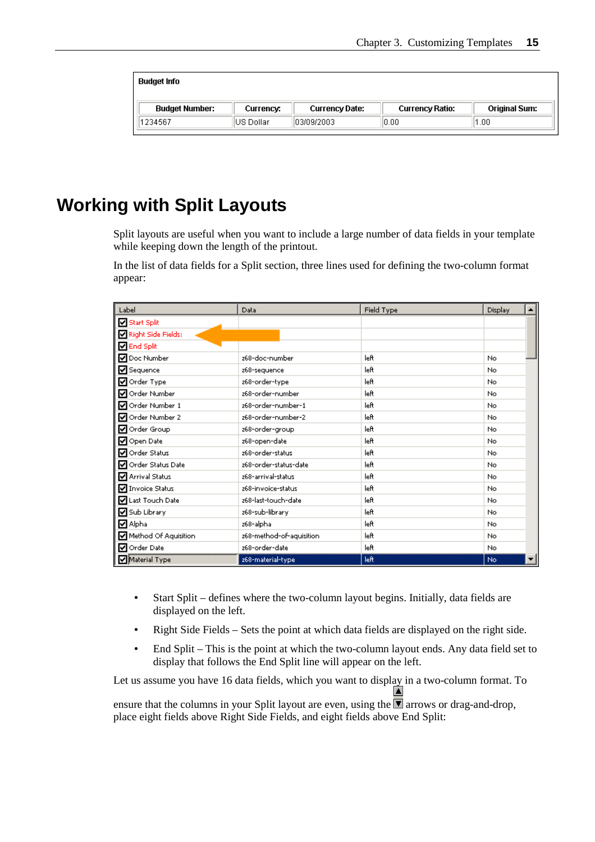<span id="page-17-0"></span>

| Budget Info           |           |                |                 |                      |
|-----------------------|-----------|----------------|-----------------|----------------------|
| <b>Budget Number:</b> | Currency: | Currency Date: | Currency Ratio: | <b>Original Sum:</b> |
| 1234567               | US Dollar | 103/09/2003    | 0.00            | 1.00                 |

# **Working with Split Layouts**

Split layouts are useful when you want to include a large number of data fields in your template while keeping down the length of the printout.

In the list of data fields for a Split section, three lines used for defining the two-column format appear:

| Label                | Data                     | Field Type | Display |
|----------------------|--------------------------|------------|---------|
| Start Split          |                          |            |         |
| Right Side Fields:   |                          |            |         |
| <b>Ø</b> End Split   |                          |            |         |
| O Doc Number         | z68-doc-number           | left       | No      |
| Sequence             | z68-sequence             | left       | No.     |
| Order Type           | z68-order-type           | left       | No.     |
| Order Number         | z68-order-number         | left       | No      |
| Order Number 1       | z68-order-number-1       | left       | No.     |
| Order Number 2       | z68-order-number-2       | left       | No.     |
| Order Group          | z68-order-group          | left       | No      |
| Open Date            | z68-open-date            | left       | No.     |
| Order Status         | z68-order-status         | left       | No.     |
| Order Status Date    | 268-order-status-date    | left       | No.     |
| Arrival Status       | z68-arrival-status       | left       | No.     |
| Invoice Status       | z68-invoice-status       | left       | No.     |
| Last Touch Date      | z68-last-touch-date      | left       | No.     |
| Sub Library          | 268-sub-library          | left       | No.     |
| <b>☑</b> Alpha       | z68-alpha                | left       | No.     |
| Method Of Aquisition | z68-method-of-aquisition | left       | No.     |
| Order Date           | z68-order-date           | left       | No.     |
| Material Type        | 268-material-type        | left       | No      |

- Start Split defines where the two-column layout begins. Initially, data fields are displayed on the left.
- Right Side Fields Sets the point at which data fields are displayed on the right side.
- End Split This is the point at which the two-column layout ends. Any data field set to display that follows the End Split line will appear on the left.

Let us assume you have 16 data fields, which you want to display in a two-column format. To

ensure that the columns in your Split layout are even, using the  $\blacksquare$  arrows or drag-and-drop, place eight fields above Right Side Fields, and eight fields above End Split: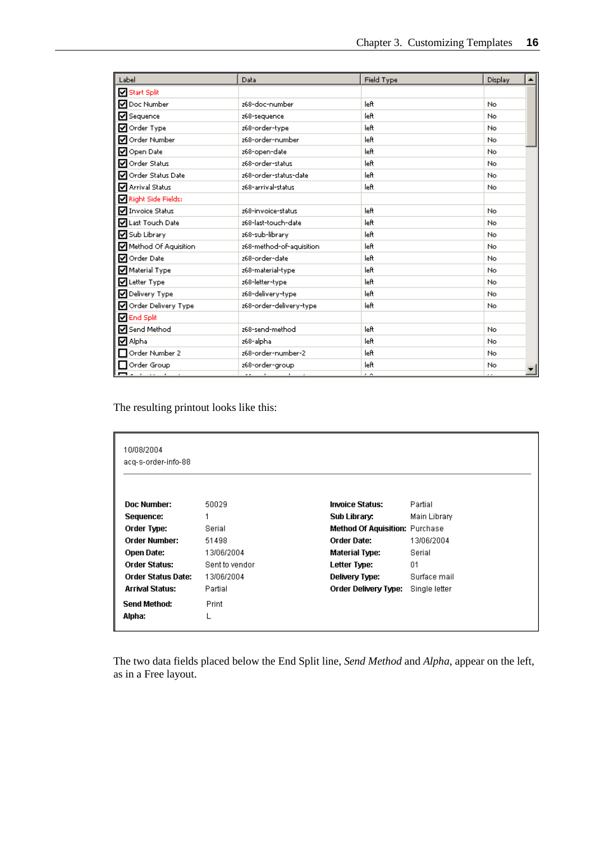| Label                         | Data                     | Field Type | Display |  |
|-------------------------------|--------------------------|------------|---------|--|
| Start Split                   |                          |            |         |  |
| O Doc Number                  | z68-doc-number           | left       | No.     |  |
| Sequence                      | z68-sequence             | left       | No.     |  |
| ■ Order Type                  | z68-order-type           | left       | No.     |  |
| Ø Order Number                | z68-order-number         | left       | No.     |  |
| Open Date                     | z68-open-date            | left       | No      |  |
| Order Status                  | z68-order-status         | left       | No.     |  |
| Order Status Date             | z68-order-status-date    | left       | No.     |  |
| Arrival Status                | z68-arrival-status       | left       | No.     |  |
| Right Side Fields:            |                          |            |         |  |
| Invoice Status                | z68-invoice-status       | left       | No.     |  |
| <b>▽</b> Last Touch Date      | z68-last-touch-date      | left       | No.     |  |
| Sub Library                   | 268-sub-library          | left       | No.     |  |
| <b>V</b> Method Of Aquisition | z68-method-of-aquisition | left       | No.     |  |
| Ø Order Date                  | z68-order-date           | left       | No.     |  |
| Material Type                 | 268-material-type        | left       | No.     |  |
| Letter Type                   | 268-letter-type          | left       | No      |  |
| V Delivery Type               | 268-delivery-type        | left       | No.     |  |
| Order Delivery Type           | 268-order-delivery-type  | left       | No.     |  |
| <b>ØEnd Split</b>             |                          |            |         |  |
| Send Method                   | z68-send-method          | left       | No.     |  |
| <b>Ø</b> Alpha                | z68-alpha                | left       | No.     |  |
| Order Number 2                | z68-order-number-2       | left       | No.     |  |
| Order Group                   | z68-order-group          | left       | No      |  |
| <b>Product and Service</b>    | <b>Address Contracts</b> | $\sim$     |         |  |

The resulting printout looks like this:

| 10/08/2004<br>acq-s-order-info-88 |                |                                       |               |
|-----------------------------------|----------------|---------------------------------------|---------------|
| Doc Number:                       | 50029          | <b>Invoice Status:</b>                | Partial       |
| Sequence:                         | 1              | Sub Library:                          | Main Library  |
| Order Type:                       | Serial         | <b>Method Of Aquisition: Purchase</b> |               |
| <b>Order Number:</b>              | 51498          | Order Date:                           | 13/06/2004    |
| <b>Open Date:</b>                 | 13/06/2004     | Material Type:                        | Serial        |
| Order Status:                     | Sent to vendor | Letter Type:                          | 01            |
| <b>Order Status Date:</b>         | 13/06/2004     | Delivery Type:                        | Surface mail  |
| Arrival Status:                   | Partial        | Order Delivery Type:                  | Single letter |
| <b>Send Method:</b>               | Print          |                                       |               |
| Alpha:                            |                |                                       |               |

The two data fields placed below the End Split line, *Send Method* and *Alpha*, appear on the left, as in a Free layout.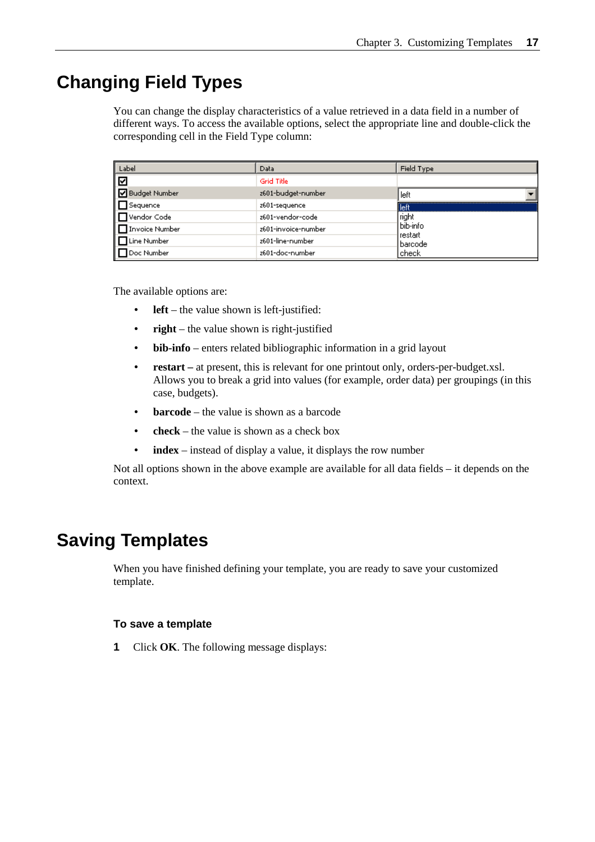# <span id="page-19-0"></span>**Changing Field Types**

You can change the display characteristics of a value retrieved in a data field in a number of different ways. To access the available options, select the appropriate line and double-click the corresponding cell in the Field Type column:

| Label                   | Data                | Field Type                 |
|-------------------------|---------------------|----------------------------|
| ∣☑                      | <b>Grid Title</b>   |                            |
| <b>Budget Number</b>    | z601-budget-number  | left                       |
| $\Box$ Sequence         | z601-sequence       | lleft                      |
| $\Box$ Vendor Code      | z601-vendor-code    | right                      |
| <b>□</b> Invoice Number | z601-invoice-number | bib-info                   |
| <b>□</b> Line Number    | z601-line-number    | restart<br><b>b</b> arcode |
| <b>Doc Number</b>       | z601-doc-number     | check                      |

The available options are:

- **left** the value shown is left-justified:
- **right** the value shown is right-justified
- **bib-info** enters related bibliographic information in a grid layout
- **restart** at present, this is relevant for one printout only, orders-per-budget.xsl. Allows you to break a grid into values (for example, order data) per groupings (in this case, budgets).
- **barcode** the value is shown as a barcode
- $\mathbf{check}$  the value is shown as a check box
- index instead of display a value, it displays the row number

Not all options shown in the above example are available for all data fields – it depends on the context.

# **Saving Templates**

When you have finished defining your template, you are ready to save your customized template.

#### **To save a template**

**1** Click **OK**. The following message displays: